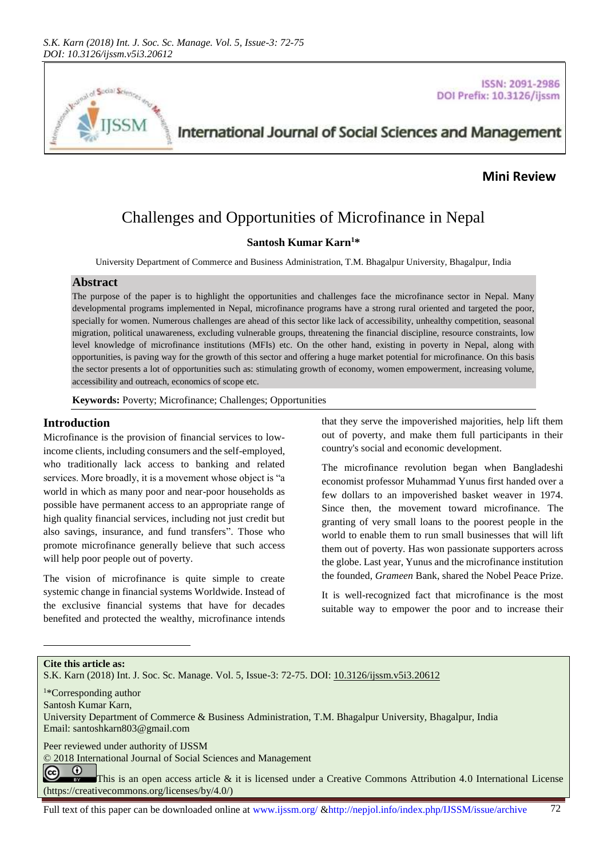

**ISSN: 2091-2986** DOI Prefix: 10.3126/ijssm

International Journal of Social Sciences and Management

## **Mini Review**

# Challenges and Opportunities of Microfinance in Nepal

## **Santosh Kumar Karn<sup>1</sup>\***

University Department of Commerce and Business Administration, T.M. Bhagalpur University, Bhagalpur, India

#### **Abstract**

The purpose of the paper is to highlight the opportunities and challenges face the microfinance sector in Nepal. Many developmental programs implemented in Nepal, microfinance programs have a strong rural oriented and targeted the poor, specially for women. Numerous challenges are ahead of this sector like lack of accessibility, unhealthy competition, seasonal migration, political unawareness, excluding vulnerable groups, threatening the financial discipline, resource constraints, low level knowledge of microfinance institutions (MFIs) etc. On the other hand, existing in poverty in Nepal, along with opportunities, is paving way for the growth of this sector and offering a huge market potential for microfinance. On this basis the sector presents a lot of opportunities such as: stimulating growth of economy, women empowerment, increasing volume, accessibility and outreach, economics of scope etc.

**Keywords:** Poverty; Microfinance; Challenges; Opportunities

## **Introduction**

Microfinance is the provision of financial services to lowincome clients, including consumers and the self-employed, who traditionally lack access to banking and related services. More broadly, it is a movement whose object is "a world in which as many poor and near-poor households as possible have permanent access to an appropriate range of high quality financial services, including not just credit but also savings, insurance, and fund transfers". Those who promote microfinance generally believe that such access will help poor people out of poverty.

The vision of microfinance is quite simple to create systemic change in financial systems Worldwide. Instead of the exclusive financial systems that have for decades benefited and protected the wealthy, microfinance intends that they serve the impoverished majorities, help lift them out of poverty, and make them full participants in their country's social and economic development.

The microfinance revolution began when Bangladeshi economist professor Muhammad Yunus first handed over a few dollars to an impoverished basket weaver in 1974. Since then, the movement toward microfinance. The granting of very small loans to the poorest people in the world to enable them to run small businesses that will lift them out of poverty. Has won passionate supporters across the globe. Last year, Yunus and the microfinance institution the founded, *Grameen* Bank, shared the Nobel Peace Prize.

It is well-recognized fact that microfinance is the most suitable way to empower the poor and to increase their

**Cite this article as:**

l

S.K. Karn (2018) Int. J. Soc. Sc. Manage. Vol. 5, Issue-3: 72-75. DOI: [10.3126/ijssm.v5i3.20612](http://dx.doi.org/10.3126/ijssm.v5i3.20612)

<sup>1</sup>\*Corresponding author

Santosh Kumar Karn,

University Department of Commerce & Business Administration, T.M. Bhagalpur University, Bhagalpur, India Email[: santoshkarn803@gmail.com](mailto:santoshkarn803@gmail.com)

Peer reviewed under authority of IJSSM

© 2018 International Journal of Social Sciences and Management

 $\odot$ (cc) This is an open access article & it is licensed under a Creative Commons Attribution 4.0 International License [\(https://creativecommons.org/licenses/by/4.0/\)](https://creativecommons.org/licenses/by/4.0/)

Full text of this paper can be downloaded online at www.ijssm.org/ &http://nepjol.info/index.php/IJSSM/issue/archive 72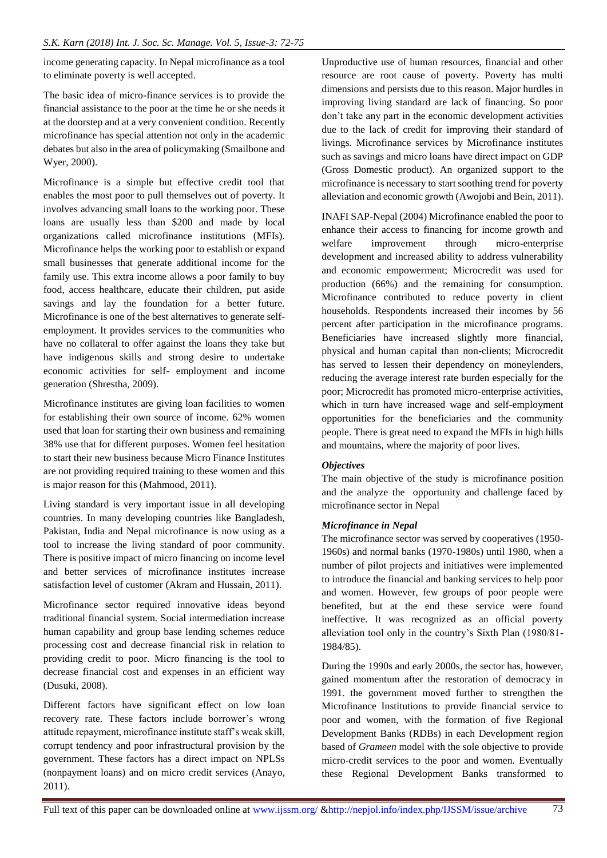income generating capacity. In Nepal microfinance as a tool to eliminate poverty is well accepted.

The basic idea of micro-finance services is to provide the financial assistance to the poor at the time he or she needs it at the doorstep and at a very convenient condition. Recently microfinance has special attention not only in the academic debates but also in the area of policymaking (Smailbone and Wyer, 2000).

Microfinance is a simple but effective credit tool that enables the most poor to pull themselves out of poverty. It involves advancing small loans to the working poor. These loans are usually less than \$200 and made by local organizations called microfinance institutions (MFIs). Microfinance helps the working poor to establish or expand small businesses that generate additional income for the family use. This extra income allows a poor family to buy food, access healthcare, educate their children, put aside savings and lay the foundation for a better future. Microfinance is one of the best alternatives to generate selfemployment. It provides services to the communities who have no collateral to offer against the loans they take but have indigenous skills and strong desire to undertake economic activities for self- employment and income generation (Shrestha, 2009).

Microfinance institutes are giving loan facilities to women for establishing their own source of income. 62% women used that loan for starting their own business and remaining 38% use that for different purposes. Women feel hesitation to start their new business because Micro Finance Institutes are not providing required training to these women and this is major reason for this (Mahmood, 2011).

Living standard is very important issue in all developing countries. In many developing countries like Bangladesh, Pakistan, India and Nepal microfinance is now using as a tool to increase the living standard of poor community. There is positive impact of micro financing on income level and better services of microfinance institutes increase satisfaction level of customer (Akram and Hussain, 2011).

Microfinance sector required innovative ideas beyond traditional financial system. Social intermediation increase human capability and group base lending schemes reduce processing cost and decrease financial risk in relation to providing credit to poor. Micro financing is the tool to decrease financial cost and expenses in an efficient way (Dusuki, 2008).

Different factors have significant effect on low loan recovery rate. These factors include borrower's wrong attitude repayment, microfinance institute staff's weak skill, corrupt tendency and poor infrastructural provision by the government. These factors has a direct impact on NPLSs (nonpayment loans) and on micro credit services (Anayo, 2011).

Unproductive use of human resources, financial and other resource are root cause of poverty. Poverty has multi dimensions and persists due to this reason. Major hurdles in improving living standard are lack of financing. So poor don't take any part in the economic development activities due to the lack of credit for improving their standard of livings. Microfinance services by Microfinance institutes such as savings and micro loans have direct impact on GDP (Gross Domestic product). An organized support to the microfinance is necessary to start soothing trend for poverty alleviation and economic growth (Awojobi and Bein, 2011).

INAFI SAP-Nepal (2004) Microfinance enabled the poor to enhance their access to financing for income growth and welfare improvement through micro-enterprise development and increased ability to address vulnerability and economic empowerment; Microcredit was used for production (66%) and the remaining for consumption. Microfinance contributed to reduce poverty in client households. Respondents increased their incomes by 56 percent after participation in the microfinance programs. Beneficiaries have increased slightly more financial, physical and human capital than non-clients; Microcredit has served to lessen their dependency on moneylenders, reducing the average interest rate burden especially for the poor; Microcredit has promoted micro-enterprise activities, which in turn have increased wage and self-employment opportunities for the beneficiaries and the community people. There is great need to expand the MFIs in high hills and mountains, where the majority of poor lives.

## *Objectives*

The main objective of the study is microfinance position and the analyze the opportunity and challenge faced by microfinance sector in Nepal

#### *Microfinance in Nepal*

The microfinance sector was served by cooperatives (1950- 1960s) and normal banks (1970-1980s) until 1980, when a number of pilot projects and initiatives were implemented to introduce the financial and banking services to help poor and women. However, few groups of poor people were benefited, but at the end these service were found ineffective. It was recognized as an official poverty alleviation tool only in the country's Sixth Plan (1980/81- 1984/85).

During the 1990s and early 2000s, the sector has, however, gained momentum after the restoration of democracy in 1991. the government moved further to strengthen the Microfinance Institutions to provide financial service to poor and women, with the formation of five Regional Development Banks (RDBs) in each Development region based of *Grameen* model with the sole objective to provide micro-credit services to the poor and women. Eventually these Regional Development Banks transformed to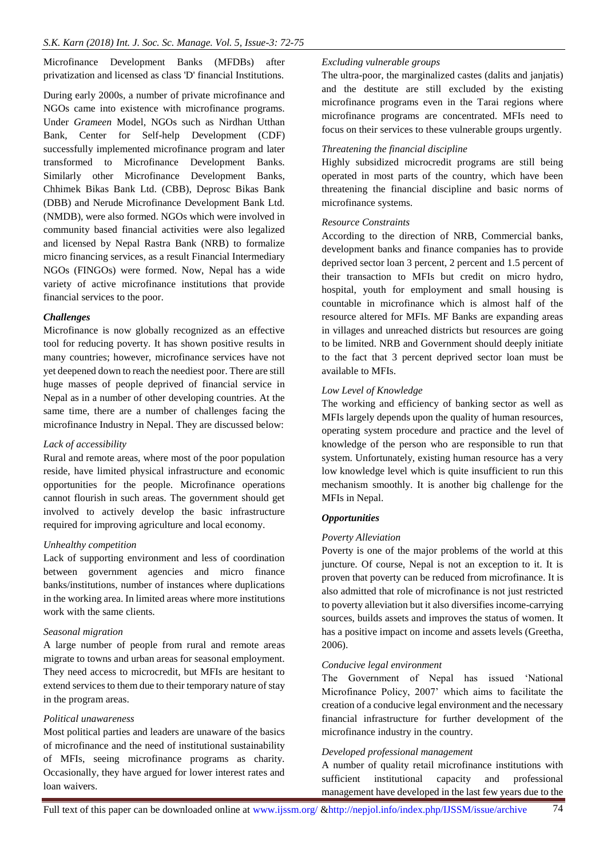Microfinance Development Banks (MFDBs) after privatization and licensed as class 'D' financial Institutions.

During early 2000s, a number of private microfinance and NGOs came into existence with microfinance programs. Under *Grameen* Model, NGOs such as Nirdhan Utthan Bank, Center for Self-help Development (CDF) successfully implemented microfinance program and later transformed to Microfinance Development Banks. Similarly other Microfinance Development Banks, Chhimek Bikas Bank Ltd. (CBB), Deprosc Bikas Bank (DBB) and Nerude Microfinance Development Bank Ltd. (NMDB), were also formed. NGOs which were involved in community based financial activities were also legalized and licensed by Nepal Rastra Bank (NRB) to formalize micro financing services, as a result Financial Intermediary NGOs (FINGOs) were formed. Now, Nepal has a wide variety of active microfinance institutions that provide financial services to the poor.

#### *Challenges*

Microfinance is now globally recognized as an effective tool for reducing poverty. It has shown positive results in many countries; however, microfinance services have not yet deepened down to reach the neediest poor. There are still huge masses of people deprived of financial service in Nepal as in a number of other developing countries. At the same time, there are a number of challenges facing the microfinance Industry in Nepal. They are discussed below:

#### *Lack of accessibility*

Rural and remote areas, where most of the poor population reside, have limited physical infrastructure and economic opportunities for the people. Microfinance operations cannot flourish in such areas. The government should get involved to actively develop the basic infrastructure required for improving agriculture and local economy.

#### *Unhealthy competition*

Lack of supporting environment and less of coordination between government agencies and micro finance banks/institutions, number of instances where duplications in the working area. In limited areas where more institutions work with the same clients.

#### *Seasonal migration*

A large number of people from rural and remote areas migrate to towns and urban areas for seasonal employment. They need access to microcredit, but MFIs are hesitant to extend services to them due to their temporary nature of stay in the program areas.

#### *Political unawareness*

Most political parties and leaders are unaware of the basics of microfinance and the need of institutional sustainability of MFIs, seeing microfinance programs as charity. Occasionally, they have argued for lower interest rates and loan waivers.

#### *Excluding vulnerable groups*

The ultra-poor, the marginalized castes (dalits and janjatis) and the destitute are still excluded by the existing microfinance programs even in the Tarai regions where microfinance programs are concentrated. MFIs need to focus on their services to these vulnerable groups urgently.

## *Threatening the financial discipline*

Highly subsidized microcredit programs are still being operated in most parts of the country, which have been threatening the financial discipline and basic norms of microfinance systems.

#### *Resource Constraints*

According to the direction of NRB, Commercial banks, development banks and finance companies has to provide deprived sector loan 3 percent, 2 percent and 1.5 percent of their transaction to MFIs but credit on micro hydro, hospital, youth for employment and small housing is countable in microfinance which is almost half of the resource altered for MFIs. MF Banks are expanding areas in villages and unreached districts but resources are going to be limited. NRB and Government should deeply initiate to the fact that 3 percent deprived sector loan must be available to MFIs.

## *Low Level of Knowledge*

The working and efficiency of banking sector as well as MFIs largely depends upon the quality of human resources, operating system procedure and practice and the level of knowledge of the person who are responsible to run that system. Unfortunately, existing human resource has a very low knowledge level which is quite insufficient to run this mechanism smoothly. It is another big challenge for the MFIs in Nepal.

#### *Opportunities*

## *Poverty Alleviation*

Poverty is one of the major problems of the world at this juncture. Of course, Nepal is not an exception to it. It is proven that poverty can be reduced from microfinance. It is also admitted that role of microfinance is not just restricted to poverty alleviation but it also diversifies income-carrying sources, builds assets and improves the status of women. It has a positive impact on income and assets levels (Greetha, 2006).

#### *Conducive legal environment*

The Government of Nepal has issued 'National Microfinance Policy, 2007' which aims to facilitate the creation of a conducive legal environment and the necessary financial infrastructure for further development of the microfinance industry in the country.

#### *Developed professional management*

A number of quality retail microfinance institutions with sufficient institutional capacity and professional management have developed in the last few years due to the